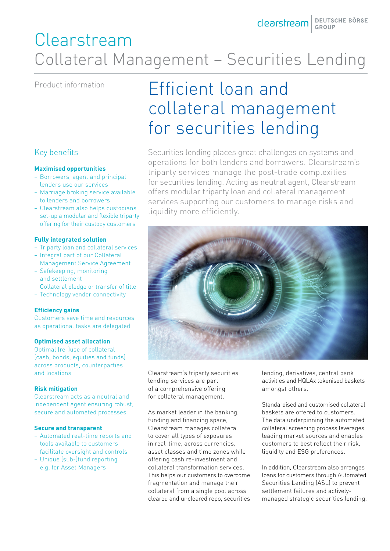## Clearstream Collateral Management – Securities Lending

### Key benefits

#### **Maximised opportunities**

- Borrowers, agent and principal lenders use our services
- Marriage broking service available to lenders and borrowers
- Clearstream also helps custodians set-up a modular and flexible triparty offering for their custody customers

#### **Fully integrated solution**

- Triparty loan and collateral services
- Integral part of our Collateral Management Service Agreement
- Safekeeping, monitoring and settlement
- Collateral pledge or transfer of title
- Technology vendor connectivity

#### **Efficiency gains**

Customers save time and resources as operational tasks are delegated

#### **Optimised asset allocation**

Optimal (re-)use of collateral (cash, bonds, equities and funds) across products, counterparties and locations

#### **Risk mitigation**

Clearstream acts as a neutral and independent agent ensuring robust, secure and automated processes

#### **Secure and transparent**

- Automated real-time reports and tools available to customers facilitate oversight and controls
- Unique (sub-)fund reporting e.g. for Asset Managers

# Product information **Efficient loan and** collateral management for securities lending

Securities lending places great challenges on systems and operations for both lenders and borrowers. Clearstream's triparty services manage the post-trade complexities for securities lending. Acting as neutral agent, Clearstream offers modular triparty loan and collateral management services supporting our customers to manage risks and liquidity more efficiently.



Clearstream's triparty securities lending services are part of a comprehensive offering for collateral management.

As market leader in the banking, funding and financing space, Clearstream manages collateral to cover all types of exposures in real-time, across currencies, asset classes and time zones while offering cash re-investment and collateral transformation services. This helps our customers to overcome fragmentation and manage their collateral from a single pool across cleared and uncleared repo, securities lending, derivatives, central bank activities and HQLAx tokenised baskets amongst others.

Standardised and customised collateral baskets are offered to customers. The data underpinning the automated collateral screening process leverages leading market sources and enables customers to best reflect their risk, liquidity and ESG preferences.

In addition, Clearstream also arranges loans for customers through Automated Securities Lending (ASL) to prevent settlement failures and activelymanaged strategic securities lending.